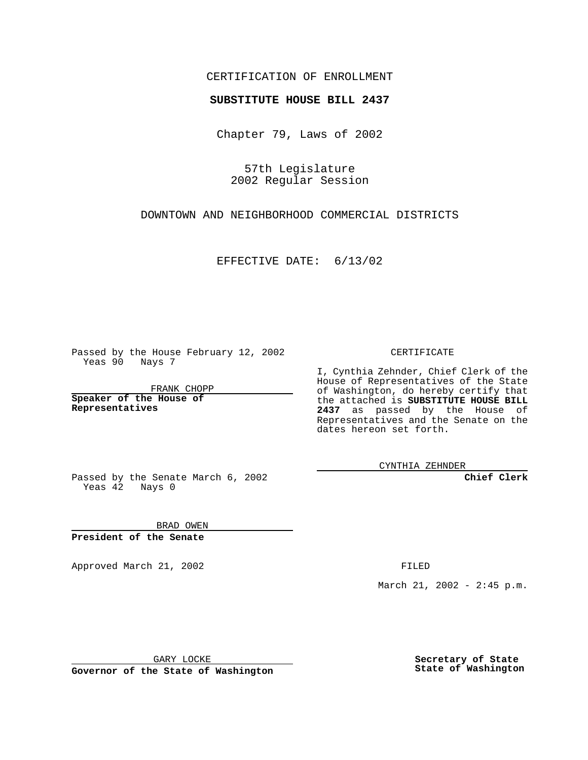## CERTIFICATION OF ENROLLMENT

## **SUBSTITUTE HOUSE BILL 2437**

Chapter 79, Laws of 2002

57th Legislature 2002 Regular Session

DOWNTOWN AND NEIGHBORHOOD COMMERCIAL DISTRICTS

EFFECTIVE DATE: 6/13/02

Passed by the House February 12, 2002 Yeas 90 Nays 7

FRANK CHOPP

**Speaker of the House of Representatives**

CERTIFICATE

I, Cynthia Zehnder, Chief Clerk of the House of Representatives of the State of Washington, do hereby certify that the attached is **SUBSTITUTE HOUSE BILL 2437** as passed by the House of Representatives and the Senate on the dates hereon set forth.

CYNTHIA ZEHNDER

**Chief Clerk**

Passed by the Senate March 6, 2002 Yeas  $42$  Nays 0

BRAD OWEN **President of the Senate**

Approved March 21, 2002 **FILED** 

March 21, 2002 - 2:45 p.m.

GARY LOCKE

**Governor of the State of Washington**

**Secretary of State State of Washington**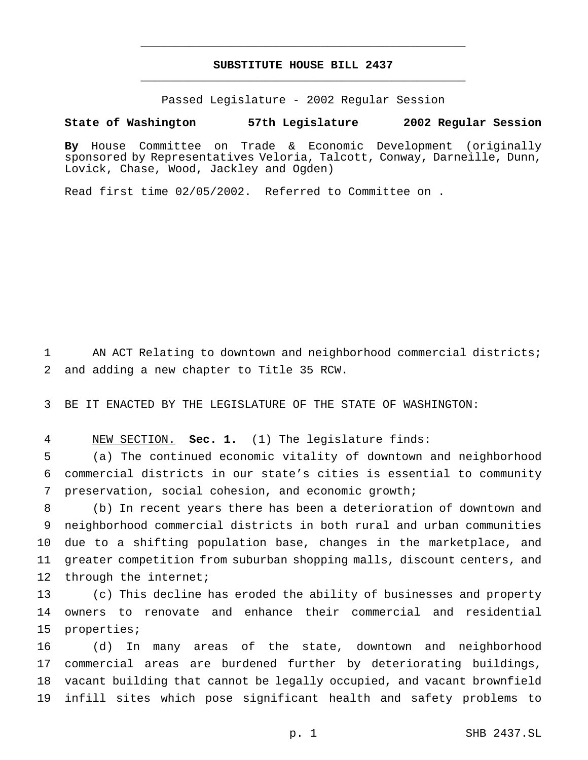## **SUBSTITUTE HOUSE BILL 2437** \_\_\_\_\_\_\_\_\_\_\_\_\_\_\_\_\_\_\_\_\_\_\_\_\_\_\_\_\_\_\_\_\_\_\_\_\_\_\_\_\_\_\_\_\_\_\_

\_\_\_\_\_\_\_\_\_\_\_\_\_\_\_\_\_\_\_\_\_\_\_\_\_\_\_\_\_\_\_\_\_\_\_\_\_\_\_\_\_\_\_\_\_\_\_

Passed Legislature - 2002 Regular Session

## **State of Washington 57th Legislature 2002 Regular Session**

**By** House Committee on Trade & Economic Development (originally sponsored by Representatives Veloria, Talcott, Conway, Darneille, Dunn, Lovick, Chase, Wood, Jackley and Ogden)

Read first time 02/05/2002. Referred to Committee on .

 AN ACT Relating to downtown and neighborhood commercial districts; and adding a new chapter to Title 35 RCW.

BE IT ENACTED BY THE LEGISLATURE OF THE STATE OF WASHINGTON:

NEW SECTION. **Sec. 1.** (1) The legislature finds:

 (a) The continued economic vitality of downtown and neighborhood commercial districts in our state's cities is essential to community preservation, social cohesion, and economic growth;

 (b) In recent years there has been a deterioration of downtown and neighborhood commercial districts in both rural and urban communities due to a shifting population base, changes in the marketplace, and greater competition from suburban shopping malls, discount centers, and 12 through the internet;

 (c) This decline has eroded the ability of businesses and property owners to renovate and enhance their commercial and residential properties;

 (d) In many areas of the state, downtown and neighborhood commercial areas are burdened further by deteriorating buildings, vacant building that cannot be legally occupied, and vacant brownfield infill sites which pose significant health and safety problems to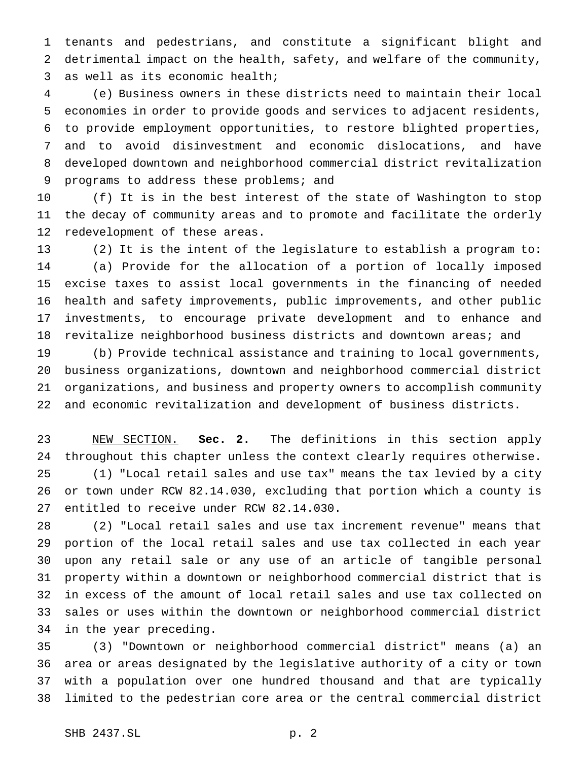tenants and pedestrians, and constitute a significant blight and detrimental impact on the health, safety, and welfare of the community, as well as its economic health;

 (e) Business owners in these districts need to maintain their local economies in order to provide goods and services to adjacent residents, to provide employment opportunities, to restore blighted properties, and to avoid disinvestment and economic dislocations, and have developed downtown and neighborhood commercial district revitalization programs to address these problems; and

 (f) It is in the best interest of the state of Washington to stop the decay of community areas and to promote and facilitate the orderly redevelopment of these areas.

 (2) It is the intent of the legislature to establish a program to: (a) Provide for the allocation of a portion of locally imposed excise taxes to assist local governments in the financing of needed health and safety improvements, public improvements, and other public investments, to encourage private development and to enhance and revitalize neighborhood business districts and downtown areas; and

 (b) Provide technical assistance and training to local governments, business organizations, downtown and neighborhood commercial district organizations, and business and property owners to accomplish community and economic revitalization and development of business districts.

 NEW SECTION. **Sec. 2.** The definitions in this section apply throughout this chapter unless the context clearly requires otherwise. (1) "Local retail sales and use tax" means the tax levied by a city or town under RCW 82.14.030, excluding that portion which a county is entitled to receive under RCW 82.14.030.

 (2) "Local retail sales and use tax increment revenue" means that portion of the local retail sales and use tax collected in each year upon any retail sale or any use of an article of tangible personal property within a downtown or neighborhood commercial district that is in excess of the amount of local retail sales and use tax collected on sales or uses within the downtown or neighborhood commercial district in the year preceding.

 (3) "Downtown or neighborhood commercial district" means (a) an area or areas designated by the legislative authority of a city or town with a population over one hundred thousand and that are typically limited to the pedestrian core area or the central commercial district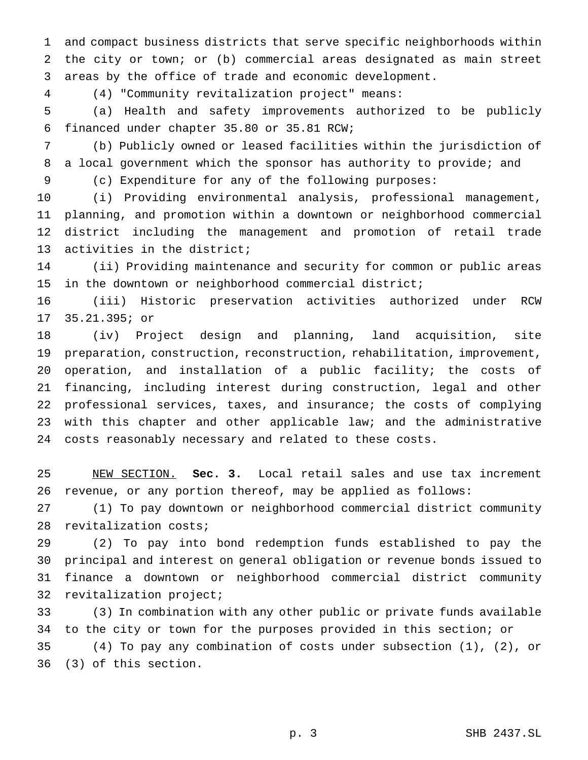and compact business districts that serve specific neighborhoods within the city or town; or (b) commercial areas designated as main street areas by the office of trade and economic development.

(4) "Community revitalization project" means:

 (a) Health and safety improvements authorized to be publicly financed under chapter 35.80 or 35.81 RCW;

 (b) Publicly owned or leased facilities within the jurisdiction of 8 a local government which the sponsor has authority to provide; and

(c) Expenditure for any of the following purposes:

 (i) Providing environmental analysis, professional management, planning, and promotion within a downtown or neighborhood commercial district including the management and promotion of retail trade activities in the district;

 (ii) Providing maintenance and security for common or public areas in the downtown or neighborhood commercial district;

 (iii) Historic preservation activities authorized under RCW 35.21.395; or

 (iv) Project design and planning, land acquisition, site preparation, construction, reconstruction, rehabilitation, improvement, operation, and installation of a public facility; the costs of financing, including interest during construction, legal and other professional services, taxes, and insurance; the costs of complying 23 with this chapter and other applicable law; and the administrative costs reasonably necessary and related to these costs.

 NEW SECTION. **Sec. 3.** Local retail sales and use tax increment revenue, or any portion thereof, may be applied as follows:

 (1) To pay downtown or neighborhood commercial district community revitalization costs;

 (2) To pay into bond redemption funds established to pay the principal and interest on general obligation or revenue bonds issued to finance a downtown or neighborhood commercial district community revitalization project;

 (3) In combination with any other public or private funds available to the city or town for the purposes provided in this section; or

 (4) To pay any combination of costs under subsection (1), (2), or (3) of this section.